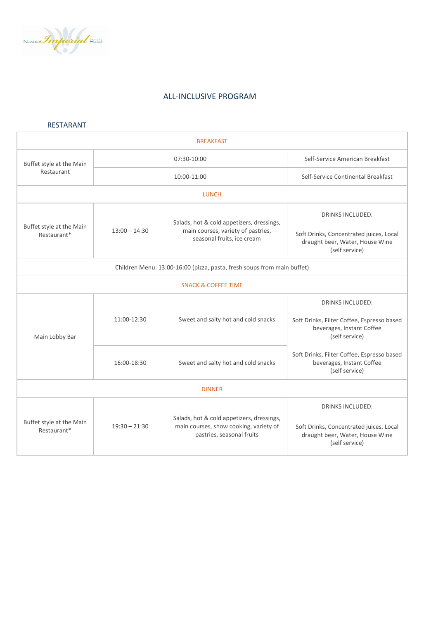

# ALL-INCLUSIVE PROGRAM

## RESTARANT

| <b>BREAKFAST</b>                                                        |                 |                                                                                                                  |                                                                                                                         |  |
|-------------------------------------------------------------------------|-----------------|------------------------------------------------------------------------------------------------------------------|-------------------------------------------------------------------------------------------------------------------------|--|
| Buffet style at the Main<br>Restaurant                                  | 07:30-10:00     |                                                                                                                  | Self-Service American Breakfast                                                                                         |  |
|                                                                         | 10:00-11:00     |                                                                                                                  | Self-Service Continental Breakfast                                                                                      |  |
| <b>LUNCH</b>                                                            |                 |                                                                                                                  |                                                                                                                         |  |
| Buffet style at the Main<br>Restaurant*                                 | $13:00 - 14:30$ | Salads, hot & cold appetizers, dressings,<br>main courses, variety of pastries,<br>seasonal fruits, ice cream    | <b>DRINKS INCLUDED:</b><br>Soft Drinks, Concentrated juices, Local<br>draught beer, Water, House Wine<br>(self service) |  |
| Children Menu: 13:00-16:00 (pizza, pasta, fresh soups from main buffet) |                 |                                                                                                                  |                                                                                                                         |  |
| <b>SNACK &amp; COFFEE TIME</b>                                          |                 |                                                                                                                  |                                                                                                                         |  |
| Main Lobby Bar                                                          | 11:00-12:30     | Sweet and salty hot and cold snacks                                                                              | <b>DRINKS INCLUDED:</b><br>Soft Drinks, Filter Coffee, Espresso based<br>beverages, Instant Coffee<br>(self service)    |  |
|                                                                         | 16:00-18:30     | Sweet and salty hot and cold snacks                                                                              | Soft Drinks, Filter Coffee, Espresso based<br>beverages, Instant Coffee<br>(self service)                               |  |
| <b>DINNER</b>                                                           |                 |                                                                                                                  |                                                                                                                         |  |
| Buffet style at the Main<br>Restaurant*                                 | $19:30 - 21:30$ | Salads, hot & cold appetizers, dressings,<br>main courses, show cooking, variety of<br>pastries, seasonal fruits | <b>DRINKS INCLUDED:</b><br>Soft Drinks, Concentrated juices, Local<br>draught beer, Water, House Wine<br>(self service) |  |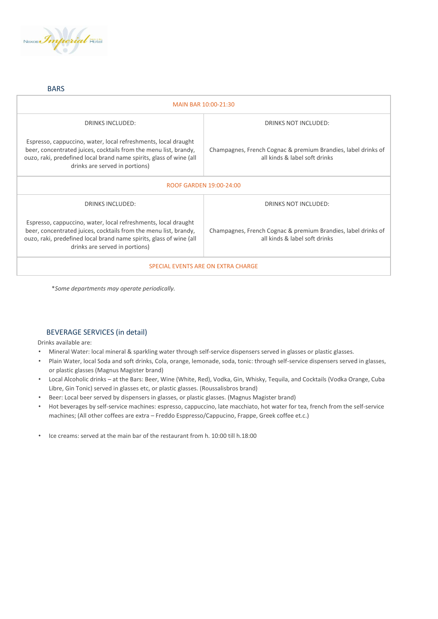

#### BARS

| MAIN BAR 10:00-21:30                                                                                                                                                                                                                        |                                                                                                |  |  |
|---------------------------------------------------------------------------------------------------------------------------------------------------------------------------------------------------------------------------------------------|------------------------------------------------------------------------------------------------|--|--|
| <b>DRINKS INCLUDED:</b>                                                                                                                                                                                                                     | DRINKS NOT INCLUDED:                                                                           |  |  |
| Espresso, cappuccino, water, local refreshments, local draught<br>beer, concentrated juices, cocktails from the menu list, brandy,<br>ouzo, raki, predefined local brand name spirits, glass of wine (all<br>drinks are served in portions) | Champagnes, French Cognac & premium Brandies, label drinks of<br>all kinds & label soft drinks |  |  |
| ROOF GARDEN 19:00-24:00                                                                                                                                                                                                                     |                                                                                                |  |  |
| <b>DRINKS INCLUDED:</b>                                                                                                                                                                                                                     | <b>DRINKS NOT INCLUDED:</b>                                                                    |  |  |
| Espresso, cappuccino, water, local refreshments, local draught<br>beer, concentrated juices, cocktails from the menu list, brandy,<br>ouzo, raki, predefined local brand name spirits, glass of wine (all<br>drinks are served in portions) | Champagnes, French Cognac & premium Brandies, label drinks of<br>all kinds & label soft drinks |  |  |
| SPECIAL EVENTS ARE ON EXTRA CHARGE                                                                                                                                                                                                          |                                                                                                |  |  |

\**Some departments may operate periodically.*

#### BEVERAGE SERVICES (in detail)

Drinks available are:

- Mineral Water: local mineral & sparkling water through self-service dispensers served in glasses or plastic glasses.
- Plain Water, local Soda and soft drinks, Cola, orange, lemonade, soda, tonic: through self-service dispensers served in glasses, or plastic glasses (Magnus Magister brand)
- Local Alcoholic drinks at the Bars: Beer, Wine (White, Red), Vodka, Gin, Whisky, Tequila, and Cocktails (Vodka Orange, Cuba Libre, Gin Tonic) served in glasses etc, or plastic glasses. (Roussalisbros brand)
- Beer: Local beer served by dispensers in glasses, or plastic glasses. (Magnus Magister brand)
- Hot beverages by self-service machines: espresso, cappuccino, late macchiato, hot water for tea, french from the self-service machines; (All other coffees are extra – Freddo Esppresso/Cappucino, Frappe, Greek coffee et.c.)
- Ice creams: served at the main bar of the restaurant from h. 10:00 till h.18:00